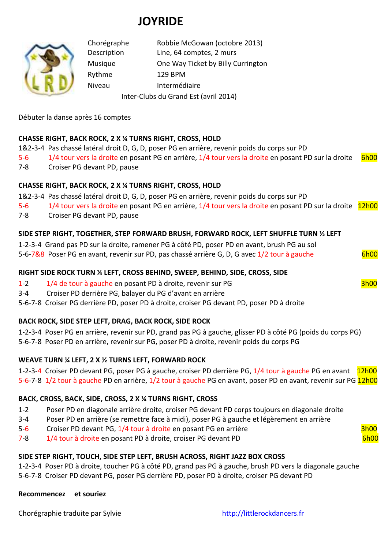# **JOYRIDE**



Chorégraphe Robbie McGowan (octobre 2013) Description Line, 64 comptes, 2 murs Musique One Way Ticket by Billy Currington Rythme 129 BPM Niveau Intermédiaire Inter-Clubs du Grand Est (avril 2014)

Débuter la danse après 16 comptes

# **CHASSE RIGHT, BACK ROCK, 2 X ¼ TURNS RIGHT, CROSS, HOLD**

- 1&2-3-4 Pas chassé latéral droit D, G, D, poser PG en arrière, revenir poids du corps sur PD
- 5-6 1/4 tour vers la droite en posant PG en arrière, 1/4 tour vers la droite en posant PD sur la droite 6h00
- 7-8 Croiser PG devant PD, pause

### **CHASSE RIGHT, BACK ROCK, 2 X ¼ TURNS RIGHT, CROSS, HOLD**

1&2-3-4 Pas chassé latéral droit D, G, D, poser PG en arrière, revenir poids du corps sur PD

- 5-6 1/4 tour vers la droite en posant PG en arrière, 1/4 tour vers la droite en posant PD sur la droite 12h00
- 7-8 Croiser PG devant PD, pause

### **SIDE STEP RIGHT, TOGETHER, STEP FORWARD BRUSH, FORWARD ROCK, LEFT SHUFFLE TURN ½ LEFT**

1-2-3-4 Grand pas PD sur la droite, ramener PG à côté PD, poser PD en avant, brush PG au sol 5-6-7&8 Poser PG en avant, revenir sur PD, pas chassé arrière G, D, G avec 1/2 tour à gauche 6h00

### **RIGHT SIDE ROCK TURN ¼ LEFT, CROSS BEHIND, SWEEP, BEHIND, SIDE, CROSS, SIDE**

- 1-2 1/4 de tour à gauche en posant PD à droite, revenir sur PG 3h00
- 3-4 Croiser PD derrière PG, balayer du PG d'avant en arrière

5-6-7-8 Croiser PG derrière PD, poser PD à droite, croiser PG devant PD, poser PD à droite

### **BACK ROCK, SIDE STEP LEFT, DRAG, BACK ROCK, SIDE ROCK**

1-2-3-4 Poser PG en arrière, revenir sur PD, grand pas PG à gauche, glisser PD à côté PG (poids du corps PG) 5-6-7-8 Poser PD en arrière, revenir sur PG, poser PD à droite, revenir poids du corps PG

### **WEAVE TURN ¼ LEFT, 2 X ½ TURNS LEFT, FORWARD ROCK**

1-2-3-4 Croiser PD devant PG, poser PG à gauche, croiser PD derrière PG, 1/4 tour à gauche PG en avant 12h00 5-6-7-8 1/2 tour à gauche PD en arrière, 1/2 tour à gauche PG en avant, poser PD en avant, revenir sur PG 12h00

### **BACK, CROSS, BACK, SIDE, CROSS, 2 X ¼ TURNS RIGHT, CROSS**

- 1-2 Poser PD en diagonale arrière droite, croiser PG devant PD corps toujours en diagonale droite
- 3-4 Poser PD en arrière (se remettre face à midi), poser PG à gauche et légèrement en arrière
- 5-6 Croiser PD devant PG, 1/4 tour à droite en posant PG en arrière  $\frac{3h00}{2h00}$
- 7-8 1/4 tour à droite en posant PD à droite, croiser PG devant PD 6h00

### **SIDE STEP RIGHT, TOUCH, SIDE STEP LEFT, BRUSH ACROSS, RIGHT JAZZ BOX CROSS**

1-2-3-4 Poser PD à droite, toucher PG à côté PD, grand pas PG à gauche, brush PD vers la diagonale gauche

5-6-7-8 Croiser PD devant PG, poser PG derrière PD, poser PD à droite, croiser PG devant PD

### **Recommencez et souriez**

Chorégraphie traduite par Sylvie http://littlerockdancers.fr